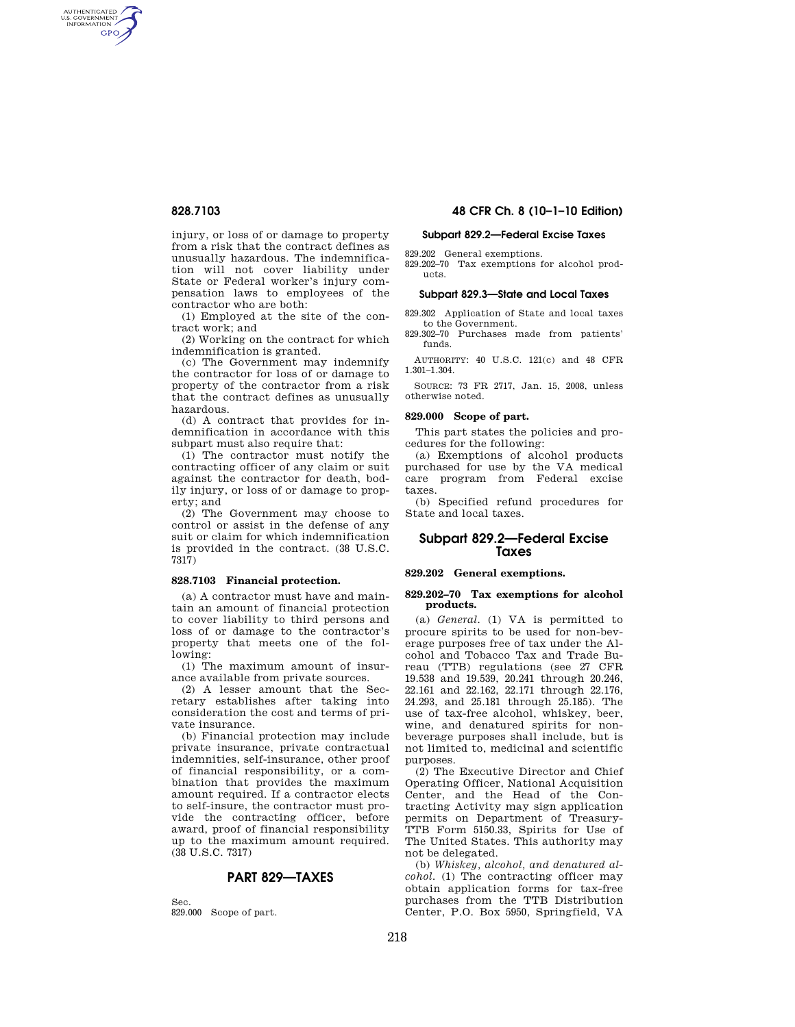AUTHENTICATED<br>U.S. GOVERNMENT<br>INFORMATION **GPO** 

> injury, or loss of or damage to property from a risk that the contract defines as unusually hazardous. The indemnification will not cover liability under State or Federal worker's injury compensation laws to employees of the contractor who are both:

(1) Employed at the site of the contract work; and

(2) Working on the contract for which indemnification is granted.

(c) The Government may indemnify the contractor for loss of or damage to property of the contractor from a risk that the contract defines as unusually hazardous.

(d) A contract that provides for indemnification in accordance with this subpart must also require that:

(1) The contractor must notify the contracting officer of any claim or suit against the contractor for death, bodily injury, or loss of or damage to property; and

(2) The Government may choose to control or assist in the defense of any suit or claim for which indemnification is provided in the contract. (38 U.S.C. 7317)

#### **828.7103 Financial protection.**

(a) A contractor must have and maintain an amount of financial protection to cover liability to third persons and loss of or damage to the contractor's property that meets one of the following:

(1) The maximum amount of insurance available from private sources.

(2) A lesser amount that the Secretary establishes after taking into consideration the cost and terms of private insurance.

(b) Financial protection may include private insurance, private contractual indemnities, self-insurance, other proof of financial responsibility, or a combination that provides the maximum amount required. If a contractor elects to self-insure, the contractor must provide the contracting officer, before award, proof of financial responsibility up to the maximum amount required. (38 U.S.C. 7317)

## **PART 829—TAXES**

Sec. 829.000 Scope of part.

## **828.7103 48 CFR Ch. 8 (10–1–10 Edition)**

#### **Subpart 829.2—Federal Excise Taxes**

829.202 General exemptions. 829.202–70 Tax exemptions for alcohol products.

#### **Subpart 829.3—State and Local Taxes**

829.302 Application of State and local taxes to the Government.

829.302–70 Purchases made from patients' funds.

AUTHORITY: 40 U.S.C. 121(c) and 48 CFR 1.301–1.304.

SOURCE: 73 FR 2717, Jan. 15, 2008, unless otherwise noted.

#### **829.000 Scope of part.**

This part states the policies and procedures for the following:

(a) Exemptions of alcohol products purchased for use by the VA medical care program from Federal excise taxes.

(b) Specified refund procedures for State and local taxes.

## **Subpart 829.2—Federal Excise Taxes**

## **829.202 General exemptions.**

#### **829.202–70 Tax exemptions for alcohol products.**

(a) *General.* (1) VA is permitted to procure spirits to be used for non-beverage purposes free of tax under the Alcohol and Tobacco Tax and Trade Bureau (TTB) regulations (see 27 CFR 19.538 and 19.539, 20.241 through 20.246, 22.161 and 22.162, 22.171 through 22.176, 24.293, and 25.181 through 25.185). The use of tax-free alcohol, whiskey, beer, wine, and denatured spirits for nonbeverage purposes shall include, but is not limited to, medicinal and scientific purposes.

(2) The Executive Director and Chief Operating Officer, National Acquisition Center, and the Head of the Contracting Activity may sign application permits on Department of Treasury-TTB Form 5150.33, Spirits for Use of The United States. This authority may not be delegated.

(b) *Whiskey, alcohol, and denatured alcohol.* (1) The contracting officer may obtain application forms for tax-free purchases from the TTB Distribution Center, P.O. Box 5950, Springfield, VA